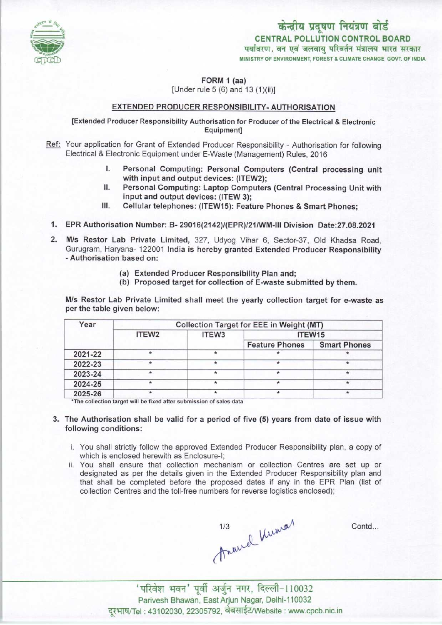

FORM 1 (aa)

[Under rule 5 (6) and 13 (1){ii)]

#### EXTENDED PRODUCER RESPONSIBILITY- AUTHORISATION

[Extended Producer Responsibility Authorisation for Producer of the Electrical & Electronic Equipment]

- Ref: Your application for Grant of Extended Producer Responsibility Authorisation for following Electrical & Electronic Equipment under E-Waste (Management) Rules, 2016
	- I. Personal Computing: Personal Computers (Central processing unit with input and output devices: (ITEW2);
	- II. Personal Computing: Laptop Computers (Central Processing Unit with input and output devices: (ITEW 3);
	- III. Cellular telephones: (ITEW15): Feature Phones & Smart Phones;
	- 1.EPR Authorisation Number: B- 29016(2142)/(EPR)/21/WM-lll Division Date:27.08.2021
	- 2.M/s Restor Lab Private Limited, 327, Udyog Vihar 6, Sector-37, Old Khadsa Road, Gurugram, Haryana- 122001 India is hereby granted Extended Producer Responsibility -Authorisation based on:
		- (a)Extended Producer Responsibility Plan and;
		- (b) Proposed target for collection of E-waste submitted by them.

M/s Restor Lab Private Limited shall meet the yearly collection target for e-waste as per the table given below:

| Year    | <b>Collection Target for EEE in Weight (MT)</b> |                   |                       |                     |
|---------|-------------------------------------------------|-------------------|-----------------------|---------------------|
|         | ITEW <sub>2</sub>                               | ITEW <sub>3</sub> | ITEW15                |                     |
|         |                                                 |                   | <b>Feature Phones</b> | <b>Smart Phones</b> |
| 2021-22 |                                                 |                   |                       |                     |
| 2022-23 |                                                 |                   |                       |                     |
| 2023-24 | $\star$                                         | ÷                 |                       |                     |
| 2024-25 |                                                 |                   |                       |                     |
| 2025-26 | $\star$                                         | $\star$           | $\star$               | $\star$             |

\*The collection target will be fixed after submission of sales data

- 3. The Authorisation shall be valid for a period of five (5) years from date of issue with following conditions:
	- i. You shall strictly follow the approved Extended Producer Responsibility plan, a copy of which is enclosed herewith as Enclosure-I;
	- ii. You shall ensure that collection mechanism or collection Centres are set up or designated as per the details given in the Extended Producer Responsibility plan and that shall be completed before the proposed dates if any in the EPR Plan (list of collection Centres and the toll-free numbers for reverse logistics enclosed);

1/3 Anamal Kumar

Contd...

 $'$  परिवेश भवन' पूर्वी अर्जुन नगर, दिल्ली-110032 Parivesh Bhawan, EastArjun Nagar, Delhi-110032 दरभाष/Tel : 43102030, 22305792, वेबसाईट/Website : www.cpcb.nic.in

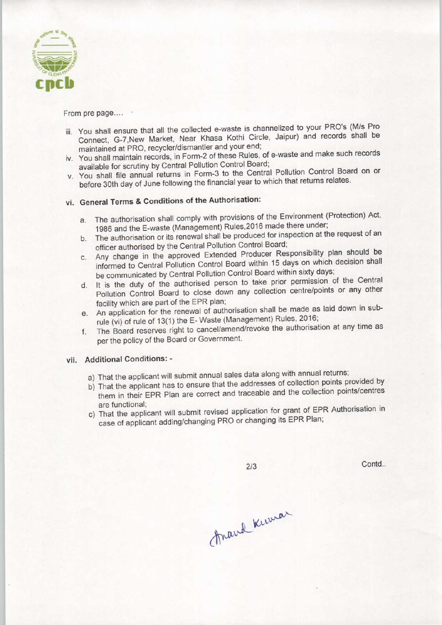

From pre page....

- iii. You shall ensure that all the collected e-waste is channelized to your PRO'S (M/s Pro Connect, G-7,New Market, Near Khasa Kothi Circle, Jaipur) and records shall be maintained at PRO, recycler/dismantler and your end;
- iv. You shall maintain records, in Form-2 of these Rules, of e-waste and make such records available for scrutiny by Central Pollution Control Board;
- v. You shall file annual returns in Form-3 to the Central Pollution Control Board on or before 30th day of June following the financial year to which that returns relates.

## vi. General Terms & Conditions of the Authorisation:

- a. The authorisation shall comply with provisions of the Environment (Protection) Act, 1986 and the E-waste (Management) Rules.2016 made there under;
- b.The authorisation or its renewal shall be produced for inspection at the request of an officer authorised by the Central Pollution Control Board;
- c.Any change in the approved Extended Producer Responsibility plan should be informed to Central Pollution Control Board within 15 days on which decision shall be communicated by Central Pollution Control Board within sixty days;
- d. It is the duty of the authorised person to take prior permission of the Central Pollution Control Board to close down any collection centre/points or any other facility which are part of the EPR plan;
- e. An application for the renewal of authorisation shall be made as laid down in subrule (vi) of rule of 13(1) the E- Waste (Management) Rules, 2016;
- f.The Board reserves right to cancel/amend/revoke the authorisation at any time as per the policy of the Board or Government.

### vii. Additional Conditions: -

- a) That the applicant will submit annual sales data along with annual returns;
- b)That the applicant has to ensure that the addresses of collection points provided by them in their EPR Plan are correct and traceable and the collection points/centres are functional;
- c) That the applicant will submit revised application for grant of EPR Authorisation in case of applicant adding/changing PRO or changing its EPR Plan;

 $2/3$ 

Contd..

Arand Knowar